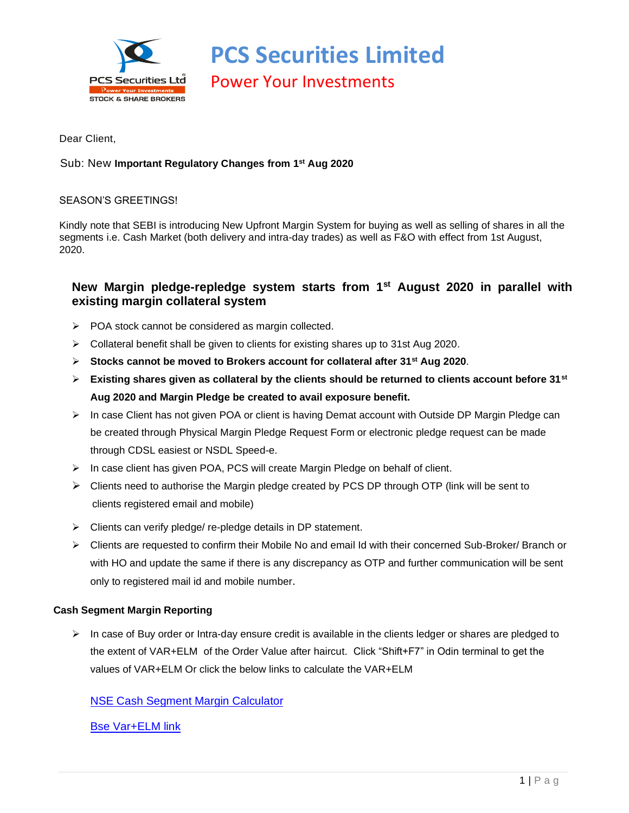

**PCS Securities Limited**  Power Your Investments

Dear Client,

## Sub: New **Important Regulatory Changes from 1 st Aug 2020**

#### SEASON'S GREETINGS!

Kindly note that SEBI is introducing New Upfront Margin System for buying as well as selling of shares in all the segments i.e. Cash Market (both delivery and intra-day trades) as well as F&O with effect from 1st August, 2020.

# **New Margin pledge-repledge system starts from 1st August 2020 in parallel with existing margin collateral system**

- ➢ POA stock cannot be considered as margin collected.
- $\triangleright$  Collateral benefit shall be given to clients for existing shares up to 31st Aug 2020.
- ➢ **Stocks cannot be moved to Brokers account for collateral after 31st Aug 2020**.
- ➢ **Existing shares given as collateral by the clients should be returned to clients account before 31st Aug 2020 and Margin Pledge be created to avail exposure benefit.**
- ➢ In case Client has not given POA or client is having Demat account with Outside DP Margin Pledge can be created through Physical Margin Pledge Request Form or electronic pledge request can be made through CDSL easiest or NSDL Speed-e.
- ➢ In case client has given POA, PCS will create Margin Pledge on behalf of client.
- ➢ Clients need to authorise the Margin pledge created by PCS DP through OTP (link will be sent to clients registered email and mobile)
- ➢ Clients can verify pledge/ re-pledge details in DP statement.
- ➢ Clients are requested to confirm their Mobile No and email Id with their concerned Sub-Broker/ Branch or with HO and update the same if there is any discrepancy as OTP and further communication will be sent only to registered mail id and mobile number.

#### **Cash Segment Margin Reporting**

➢ In case of Buy order or Intra-day ensure credit is available in the clients ledger or shares are pledged to the extent of VAR+ELM of the Order Value after haircut. Click "Shift+F7" in Odin terminal to get the values of VAR+ELM Or click the below links to calculate the VAR+ELM

### [NSE Cash Segment Margin Calculator](https://www1.nseindia.com/live_market/dynaContent/live_watch/margincalc/CMInputMargincalc.jsp)

[Bse Var+ELM link](https://www.bseindia.com/markets/equity/EQReports/margin.aspx)